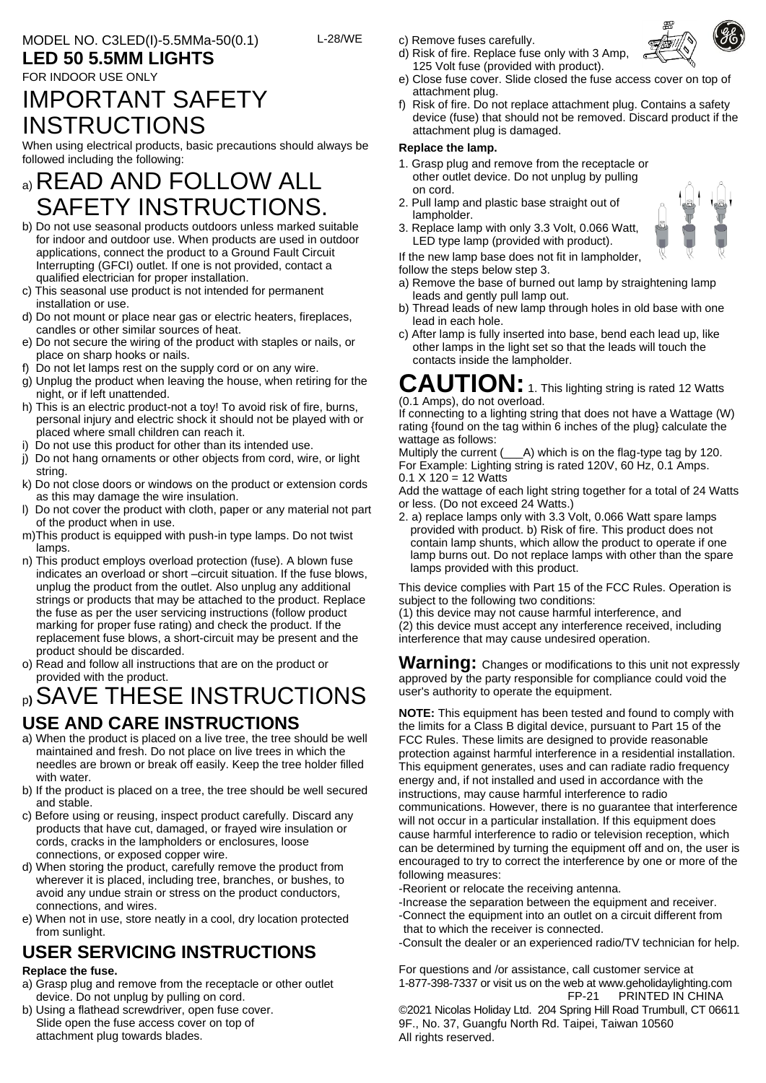### **LED 50 5.5MM LIGHTS**

#### FOR INDOOR USE ONLY

## IMPORTANT SAFETY **INSTRUCTIONS**

When using electrical products, basic precautions should always be followed including the following:

## a) READ AND FOLLOW ALL SAFETY INSTRUCTIONS.

- b) Do not use seasonal products outdoors unless marked suitable for indoor and outdoor use. When products are used in outdoor applications, connect the product to a Ground Fault Circuit Interrupting (GFCI) outlet. If one is not provided, contact a qualified electrician for proper installation.
- c) This seasonal use product is not intended for permanent installation or use.
- d) Do not mount or place near gas or electric heaters, fireplaces, candles or other similar sources of heat.
- e) Do not secure the wiring of the product with staples or nails, or place on sharp hooks or nails.
- f) Do not let lamps rest on the supply cord or on any wire.
- g) Unplug the product when leaving the house, when retiring for the night, or if left unattended.
- h) This is an electric product-not a toy! To avoid risk of fire, burns, personal injury and electric shock it should not be played with or placed where small children can reach it.
- Do not use this product for other than its intended use.
- j) Do not hang ornaments or other objects from cord, wire, or light string.
- k) Do not close doors or windows on the product or extension cords as this may damage the wire insulation.
- l) Do not cover the product with cloth, paper or any material not part of the product when in use.
- m)This product is equipped with push-in type lamps. Do not twist lamps.
- n) This product employs overload protection (fuse). A blown fuse indicates an overload or short –circuit situation. If the fuse blows, unplug the product from the outlet. Also unplug any additional strings or products that may be attached to the product. Replace the fuse as per the user servicing instructions (follow product marking for proper fuse rating) and check the product. If the replacement fuse blows, a short-circuit may be present and the product should be discarded.
- o) Read and follow all instructions that are on the product or provided with the product.

# <sup>p</sup>**)**SAVE THESE INSTRUCTIONS

### **USE AND CARE INSTRUCTIONS**

- a) When the product is placed on a live tree, the tree should be well maintained and fresh. Do not place on live trees in which the needles are brown or break off easily. Keep the tree holder filled with water
- b) If the product is placed on a tree, the tree should be well secured and stable.
- c) Before using or reusing, inspect product carefully. Discard any products that have cut, damaged, or frayed wire insulation or cords, cracks in the lampholders or enclosures, loose connections, or exposed copper wire.
- d) When storing the product, carefully remove the product from wherever it is placed, including tree, branches, or bushes, to avoid any undue strain or stress on the product conductors, connections, and wires.
- e) When not in use, store neatly in a cool, dry location protected from sunlight.

# **USER SERVICING INSTRUCTIONS**

### **Replace the fuse.**

- a) Grasp plug and remove from the receptacle or other outlet device. Do not unplug by pulling on cord.
- b) Using a flathead screwdriver, open fuse cover. Slide open the fuse access cover on top of attachment plug towards blades.

c) Remove fuses carefully.

L-28/WE

- d) Risk of fire. Replace fuse only with 3 Amp, 125 Volt fuse (provided with product).
- e) Close fuse cover. Slide closed the fuse access cover on top of attachment plug.
- f) Risk of fire. Do not replace attachment plug. Contains a safety device (fuse) that should not be removed. Discard product if the attachment plug is damaged.

#### **Replace the lamp.**

- 1. Grasp plug and remove from the receptacle or other outlet device. Do not unplug by pulling on cord.
- 2. Pull lamp and plastic base straight out of lampholder.
- 3. Replace lamp with only 3.3 Volt, 0.066 Watt, LED type lamp (provided with product).
- If the new lamp base does not fit in lampholder,

follow the steps below step 3.

- a) Remove the base of burned out lamp by straightening lamp leads and gently pull lamp out.
- b) Thread leads of new lamp through holes in old base with one lead in each hole.
- c) After lamp is fully inserted into base, bend each lead up, like other lamps in the light set so that the leads will touch the contacts inside the lampholder.

**CAUTION:** 1. This lighting string is rated 12 Watts (0.1 Amps), do not overload.

If connecting to a lighting string that does not have a Wattage (W) rating {found on the tag within 6 inches of the plug} calculate the wattage as follows:

Multiply the current ( $\_\$ A) which is on the flag-type tag by 120. For Example: Lighting string is rated 120V, 60 Hz, 0.1 Amps.  $0.1 X 120 = 12$  Watts

Add the wattage of each light string together for a total of 24 Watts or less. (Do not exceed 24 Watts.)

2. a) replace lamps only with 3.3 Volt, 0.066 Watt spare lamps provided with product. b) Risk of fire. This product does not contain lamp shunts, which allow the product to operate if one lamp burns out. Do not replace lamps with other than the spare lamps provided with this product.

This device complies with Part 15 of the FCC Rules. Operation is subject to the following two conditions:

(1) this device may not cause harmful interference, and

(2) this device must accept any interference received, including interference that may cause undesired operation.

Warning: Changes or modifications to this unit not expressly approved by the party responsible for compliance could void the user's authority to operate the equipment.

**NOTE:** This equipment has been tested and found to comply with the limits for a Class B digital device, pursuant to Part 15 of the FCC Rules. These limits are designed to provide reasonable protection against harmful interference in a residential installation. This equipment generates, uses and can radiate radio frequency energy and, if not installed and used in accordance with the instructions, may cause harmful interference to radio communications. However, there is no guarantee that interference will not occur in a particular installation. If this equipment does cause harmful interference to radio or television reception, which can be determined by turning the equipment off and on, the user is encouraged to try to correct the interference by one or more of the following measures:

- -Reorient or relocate the receiving antenna.
- -Increase the separation between the equipment and receiver. -Connect the equipment into an outlet on a circuit different from that to which the receiver is connected.
- -Consult the dealer or an experienced radio/TV technician for help.

For questions and /or assistance, call customer service at 1-877-398-7337 or visit us on the web a[t www.geholidaylighting.com](http://www.geholidaylighting.com/) FP-21 PRINTED IN CHINA

©2021 Nicolas Holiday Ltd. 204 Spring Hill Road Trumbull, CT 06611 9F., No. 37, Guangfu North Rd. Taipei, Taiwan 10560 All rights reserved.